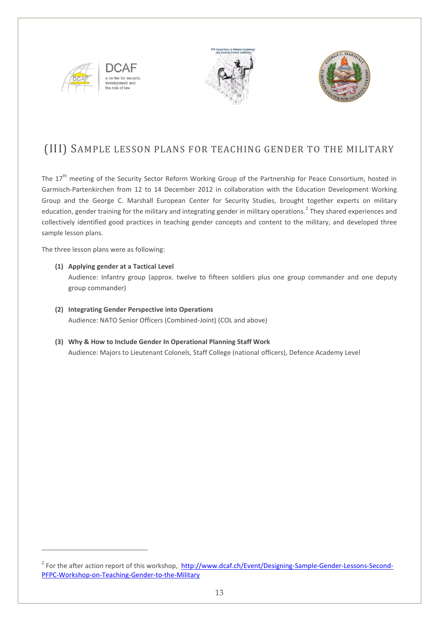

evelopm the rule of law





### (III) SAMPLE LESSON PLANS FOR TEACHING GENDER TO THE MILITARY

The 17<sup>th</sup> meeting of the Security Sector Reform Working Group of the Partnership for Peace Consortium, hosted in Garmisch-Partenkirchen from 12 to 14 December 2012 in collaboration with the Education Development Working Group and the George C. Marshall European Center for Security Studies, brought together experts on military education, gender training for the military and integrating gender in military operations.<sup>2</sup> They shared experiences and collectively identified good practices in teaching gender concepts and content to the military, and developed three sample lesson plans.

The three lesson plans were as following:

1

- **(1) Applying gender at a Tactical Level** Audience: Infantry group (approx. twelve to fifteen soldiers plus one group commander and one deputy group commander)
- **(2) Integrating Gender Perspective into Operations**  Audience: NATO Senior Officers (Combined-Joint) (COL and above)
- **(3) Why & How to Include Gender In Operational Planning Staff Work** Audience: Majors to Lieutenant Colonels, Staff College (national officers), Defence Academy Level

<sup>&</sup>lt;sup>2</sup> For the after action report of this workshop, [http://www.dcaf.ch/Event/Designing-Sample-Gender-Lessons-Second-](http://www.dcaf.ch/Event/Designing-Sample-Gender-Lessons-Second-PFPC-Workshop-on-Teaching-Gender-to-the-Military)[PFPC-Workshop-on-Teaching-Gender-to-the-Military](http://www.dcaf.ch/Event/Designing-Sample-Gender-Lessons-Second-PFPC-Workshop-on-Teaching-Gender-to-the-Military)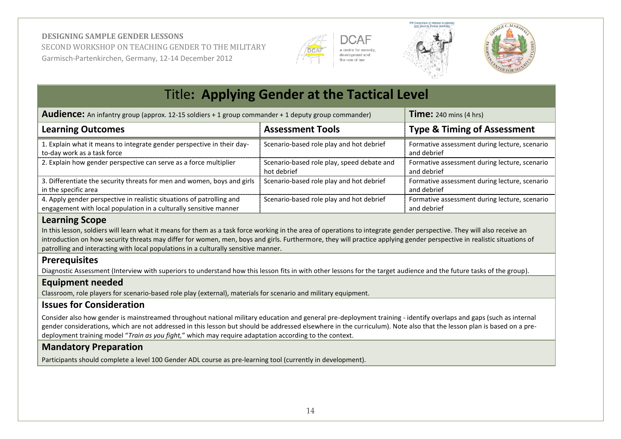







| <b>Title: Applying Gender at the Tactical Level</b>                                                                                                   |                                                           |                                                              |  |
|-------------------------------------------------------------------------------------------------------------------------------------------------------|-----------------------------------------------------------|--------------------------------------------------------------|--|
| <b>Time:</b> 240 mins $(4 \text{ hrs})$<br><b>Audience:</b> An infantry group (approx. 12-15 soldiers + 1 group commander + 1 deputy group commander) |                                                           |                                                              |  |
| <b>Learning Outcomes</b>                                                                                                                              | <b>Assessment Tools</b>                                   | <b>Type &amp; Timing of Assessment</b>                       |  |
| 1. Explain what it means to integrate gender perspective in their day-<br>to-day work as a task force                                                 | Scenario-based role play and hot debrief                  | Formative assessment during lecture, scenario<br>and debrief |  |
| 2. Explain how gender perspective can serve as a force multiplier                                                                                     | Scenario-based role play, speed debate and<br>hot debrief | Formative assessment during lecture, scenario<br>and debrief |  |
| 3. Differentiate the security threats for men and women, boys and girls<br>in the specific area                                                       | Scenario-based role play and hot debrief                  | Formative assessment during lecture, scenario<br>and debrief |  |
| 4. Apply gender perspective in realistic situations of patrolling and<br>engagement with local population in a culturally sensitive manner            | Scenario-based role play and hot debrief                  | Formative assessment during lecture, scenario<br>and debrief |  |

#### **Learning Scope**

In this lesson, soldiers will learn what it means for them as a task force working in the area of operations to integrate gender perspective. They will also receive an introduction on how security threats may differ for women, men, boys and girls. Furthermore, they will practice applying gender perspective in realistic situations of patrolling and interacting with local populations in a culturally sensitive manner.

### **Prerequisites**

Diagnostic Assessment (Interview with superiors to understand how this lesson fits in with other lessons for the target audience and the future tasks of the group).

### **Equipment needed**

Classroom, role players for scenario-based role play (external), materials for scenario and military equipment.

### **Issues for Consideration**

Consider also how gender is mainstreamed throughout national military education and general pre-deployment training - identify overlaps and gaps (such as internal gender considerations, which are not addressed in this lesson but should be addressed elsewhere in the curriculum). Note also that the lesson plan is based on a predeployment training model "*Train as you fight,*" which may require adaptation according to the context.

### **Mandatory Preparation**

Participants should complete a level 100 Gender ADL course as pre-learning tool (currently in development).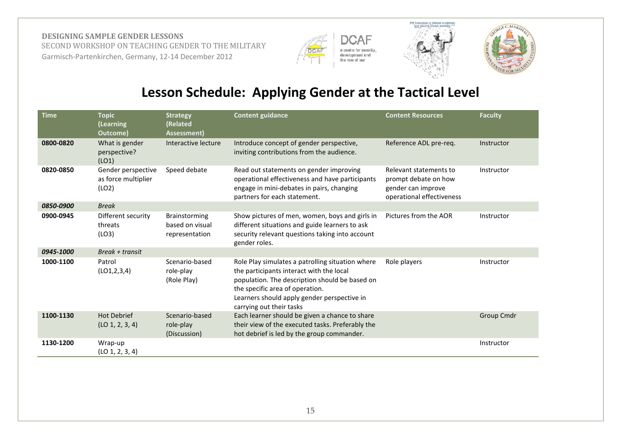





## **Lesson Schedule: Applying Gender at the Tactical Level**

| <b>Time</b> | <b>Topic</b><br>(Learning<br>Outcome)              | <b>Strategy</b><br>(Related<br>Assessment)         | <b>Content guidance</b>                                                                                                                                                                                                                                      | <b>Content Resources</b>                                                                          | <b>Faculty</b>    |
|-------------|----------------------------------------------------|----------------------------------------------------|--------------------------------------------------------------------------------------------------------------------------------------------------------------------------------------------------------------------------------------------------------------|---------------------------------------------------------------------------------------------------|-------------------|
| 0800-0820   | What is gender<br>perspective?<br>(LO1)            | Interactive lecture                                | Introduce concept of gender perspective,<br>inviting contributions from the audience.                                                                                                                                                                        | Reference ADL pre-req.                                                                            | Instructor        |
| 0820-0850   | Gender perspective<br>as force multiplier<br>(LO2) | Speed debate                                       | Read out statements on gender improving<br>operational effectiveness and have participants<br>engage in mini-debates in pairs, changing<br>partners for each statement.                                                                                      | Relevant statements to<br>prompt debate on how<br>gender can improve<br>operational effectiveness | Instructor        |
| 0850-0900   | <b>Break</b>                                       |                                                    |                                                                                                                                                                                                                                                              |                                                                                                   |                   |
| 0900-0945   | Different security<br>threats<br>(LO3)             | Brainstorming<br>based on visual<br>representation | Show pictures of men, women, boys and girls in<br>different situations and guide learners to ask<br>security relevant questions taking into account<br>gender roles.                                                                                         | Pictures from the AOR                                                                             | Instructor        |
| 0945-1000   | $Break + transit$                                  |                                                    |                                                                                                                                                                                                                                                              |                                                                                                   |                   |
| 1000-1100   | Patrol<br>(LO1, 2, 3, 4)                           | Scenario-based<br>role-play<br>(Role Play)         | Role Play simulates a patrolling situation where<br>the participants interact with the local<br>population. The description should be based on<br>the specific area of operation.<br>Learners should apply gender perspective in<br>carrying out their tasks | Role players                                                                                      | Instructor        |
| 1100-1130   | <b>Hot Debrief</b><br>(LO 1, 2, 3, 4)              | Scenario-based<br>role-play<br>(Discussion)        | Each learner should be given a chance to share<br>their view of the executed tasks. Preferably the<br>hot debrief is led by the group commander.                                                                                                             |                                                                                                   | <b>Group Cmdr</b> |
| 1130-1200   | Wrap-up<br>(LO 1, 2, 3, 4)                         |                                                    |                                                                                                                                                                                                                                                              |                                                                                                   | Instructor        |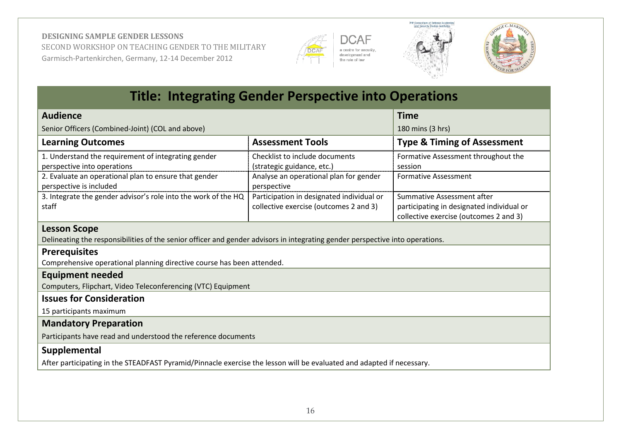







|                                                                                                                                                      | <b>Title: Integrating Gender Perspective into Operations</b>                        |                                                                                                                   |
|------------------------------------------------------------------------------------------------------------------------------------------------------|-------------------------------------------------------------------------------------|-------------------------------------------------------------------------------------------------------------------|
| <b>Audience</b>                                                                                                                                      |                                                                                     | <b>Time</b>                                                                                                       |
| Senior Officers (Combined-Joint) (COL and above)                                                                                                     |                                                                                     | 180 mins (3 hrs)                                                                                                  |
| <b>Learning Outcomes</b>                                                                                                                             | <b>Assessment Tools</b>                                                             | <b>Type &amp; Timing of Assessment</b>                                                                            |
| 1. Understand the requirement of integrating gender<br>perspective into operations                                                                   | Checklist to include documents<br>(strategic guidance, etc.)                        | Formative Assessment throughout the<br>session                                                                    |
| 2. Evaluate an operational plan to ensure that gender<br>perspective is included                                                                     | Analyse an operational plan for gender<br>perspective                               | <b>Formative Assessment</b>                                                                                       |
| 3. Integrate the gender advisor's role into the work of the HQ<br>staff                                                                              | Participation in designated individual or<br>collective exercise (outcomes 2 and 3) | Summative Assessment after<br>participating in designated individual or<br>collective exercise (outcomes 2 and 3) |
| <b>Lesson Scope</b><br>Delineating the responsibilities of the senior officer and gender advisors in integrating gender perspective into operations. |                                                                                     |                                                                                                                   |
| <b>Prerequisites</b><br>Comprehensive operational planning directive course has been attended.                                                       |                                                                                     |                                                                                                                   |
| <b>Equipment needed</b><br>Computers, Flipchart, Video Teleconferencing (VTC) Equipment                                                              |                                                                                     |                                                                                                                   |
| <b>Issues for Consideration</b>                                                                                                                      |                                                                                     |                                                                                                                   |
| 15 participants maximum                                                                                                                              |                                                                                     |                                                                                                                   |
| <b>Mandatory Preparation</b>                                                                                                                         |                                                                                     |                                                                                                                   |
| Participants have read and understood the reference documents                                                                                        |                                                                                     |                                                                                                                   |
| Supplemental                                                                                                                                         |                                                                                     |                                                                                                                   |
| After participating in the STEADFAST Pyramid/Pinnacle exercise the lesson will be evaluated and adapted if necessary.                                |                                                                                     |                                                                                                                   |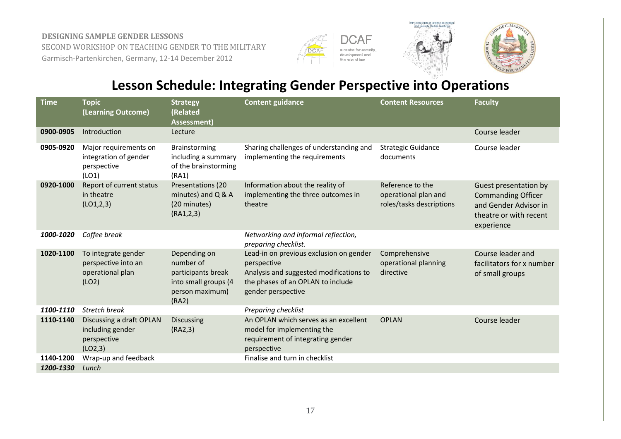







## **Lesson Schedule: Integrating Gender Perspective into Operations**

| <b>Time</b> | <b>Topic</b><br>(Learning Outcome)                                      | <b>Strategy</b><br>(Related<br>Assessment)                                                          | <b>Content guidance</b>                                                                                                                                      | <b>Content Resources</b>                                             | <b>Faculty</b>                                                                                                      |
|-------------|-------------------------------------------------------------------------|-----------------------------------------------------------------------------------------------------|--------------------------------------------------------------------------------------------------------------------------------------------------------------|----------------------------------------------------------------------|---------------------------------------------------------------------------------------------------------------------|
| 0900-0905   | Introduction                                                            | Lecture                                                                                             |                                                                                                                                                              |                                                                      | Course leader                                                                                                       |
| 0905-0920   | Major requirements on<br>integration of gender<br>perspective<br>(LO1)  | Brainstorming<br>including a summary<br>of the brainstorming<br>(RA1)                               | Sharing challenges of understanding and<br>implementing the requirements                                                                                     | <b>Strategic Guidance</b><br>documents                               | Course leader                                                                                                       |
| 0920-1000   | Report of current status<br>in theatre<br>(LO1, 2, 3)                   | Presentations (20<br>minutes) and $Q & A$<br>(20 minutes)<br>(RA1,2,3)                              | Information about the reality of<br>implementing the three outcomes in<br>theatre                                                                            | Reference to the<br>operational plan and<br>roles/tasks descriptions | Guest presentation by<br><b>Commanding Officer</b><br>and Gender Advisor in<br>theatre or with recent<br>experience |
| 1000-1020   | Coffee break                                                            |                                                                                                     | Networking and informal reflection,<br>preparing checklist.                                                                                                  |                                                                      |                                                                                                                     |
| 1020-1100   | To integrate gender<br>perspective into an<br>operational plan<br>(LO2) | Depending on<br>number of<br>participants break<br>into small groups (4<br>person maximum)<br>(RA2) | Lead-in on previous exclusion on gender<br>perspective<br>Analysis and suggested modifications to<br>the phases of an OPLAN to include<br>gender perspective | Comprehensive<br>operational planning<br>directive                   | Course leader and<br>facilitators for x number<br>of small groups                                                   |
| 1100-1110   | <b>Stretch break</b>                                                    |                                                                                                     | Preparing checklist                                                                                                                                          |                                                                      |                                                                                                                     |
| 1110-1140   | Discussing a draft OPLAN<br>including gender<br>perspective<br>(LO2,3)  | <b>Discussing</b><br>(RA2,3)                                                                        | An OPLAN which serves as an excellent<br>model for implementing the<br>requirement of integrating gender<br>perspective                                      | <b>OPLAN</b>                                                         | Course leader                                                                                                       |
| 1140-1200   | Wrap-up and feedback                                                    |                                                                                                     | Finalise and turn in checklist                                                                                                                               |                                                                      |                                                                                                                     |
| 1200-1330   | Lunch                                                                   |                                                                                                     |                                                                                                                                                              |                                                                      |                                                                                                                     |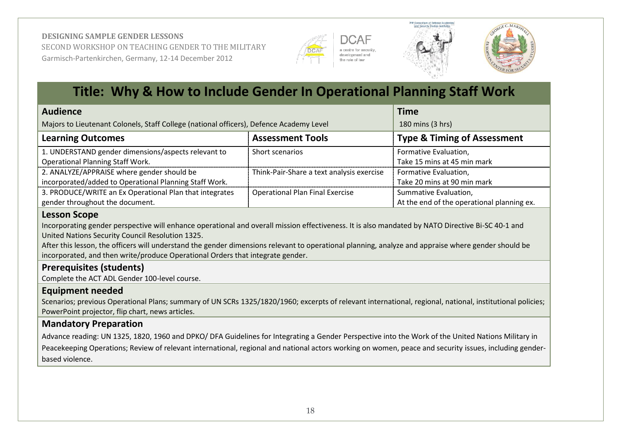







## **Title: Why & How to Include Gender In Operational Planning Staff Work**

| <b>Audience</b>                                                                                      | <b>Time</b>                               |                                                                     |
|------------------------------------------------------------------------------------------------------|-------------------------------------------|---------------------------------------------------------------------|
| Majors to Lieutenant Colonels, Staff College (national officers), Defence Academy Level              |                                           | 180 mins (3 hrs)                                                    |
| <b>Learning Outcomes</b>                                                                             | <b>Assessment Tools</b>                   | <b>Type &amp; Timing of Assessment</b>                              |
| 1. UNDERSTAND gender dimensions/aspects relevant to<br><b>Operational Planning Staff Work.</b>       | Short scenarios                           | Formative Evaluation,<br>Take 15 mins at 45 min mark                |
| 2. ANALYZE/APPRAISE where gender should be<br>incorporated/added to Operational Planning Staff Work. | Think-Pair-Share a text analysis exercise | Formative Evaluation,<br>Take 20 mins at 90 min mark                |
| 3. PRODUCE/WRITE an Ex Operational Plan that integrates<br>gender throughout the document.           | <b>Operational Plan Final Exercise</b>    | Summative Evaluation,<br>At the end of the operational planning ex. |

#### **Lesson Scope**

Incorporating gender perspective will enhance operational and overall mission effectiveness. It is also mandated by NATO Directive Bi-SC 40-1 and United Nations Security Council Resolution 1325.

After this lesson, the officers will understand the gender dimensions relevant to operational planning, analyze and appraise where gender should be incorporated, and then write/produce Operational Orders that integrate gender.

### **Prerequisites (students)**

Complete the ACT ADL Gender 100-level course.

### **Equipment needed**

Scenarios; previous Operational Plans; summary of UN SCRs 1325/1820/1960; excerpts of relevant international, regional, national, institutional policies; PowerPoint projector, flip chart, news articles.

### **Mandatory Preparation**

Advance reading: UN 1325, 1820, 1960 and DPKO/ DFA Guidelines for Integrating a Gender Perspective into the Work of the United Nations Military in Peacekeeping Operations; Review of relevant international, regional and national actors working on women, peace and security issues, including genderbased violence.